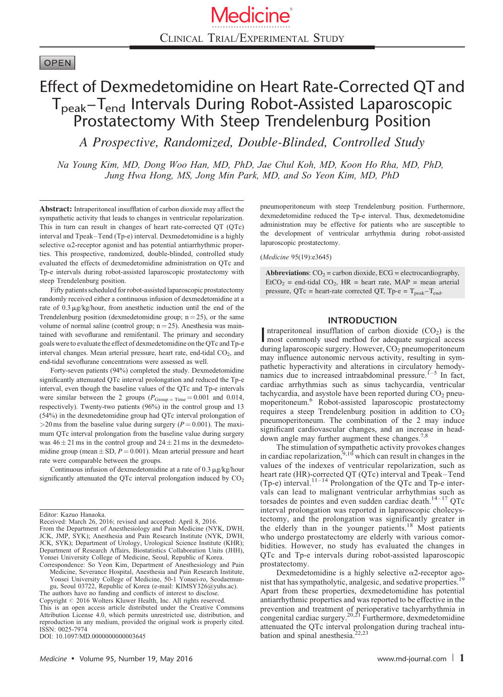# **OPEN**

# Effect of Dexmedetomidine on Heart Rate-Corrected QT and Tpeak–Tend Intervals During Robot-Assisted Laparoscopic Prostatectomy With Steep Trendelenburg Position

A Prospective, Randomized, Double-Blinded, Controlled Study

Na Young Kim, MD, Dong Woo Han, MD, PhD, Jae Chul Koh, MD, Koon Ho Rha, MD, PhD, Jung Hwa Hong, MS, Jong Min Park, MD, and So Yeon Kim, MD, PhD

Abstract: Intraperitoneal insufflation of carbon dioxide may affect the sympathetic activity that leads to changes in ventricular repolarization. This in turn can result in changes of heart rate-corrected QT (QTc) interval and Tpeak–Tend (Tp-e) interval. Dexmedetomidine is a highly selective  $\alpha$ 2-receptor agonist and has potential antiarrhythmic properties. This prospective, randomized, double-blinded, controlled study evaluated the effects of dexmedetomidine administration on QTc and Tp-e intervals during robot-assisted laparoscopic prostatectomy with steep Trendelenburg position.

Fifty patients scheduled for robot-assisted laparoscopic prostatectomy randomly received either a continuous infusion of dexmedetomidine at a rate of  $0.3 \mu g/kg/h$ our, from anesthetic induction until the end of the Trendelenburg position (dexmedetomidine group;  $n = 25$ ), or the same volume of normal saline (control group;  $n = 25$ ). Anesthesia was maintained with sevoflurane and remifentanil. The primary and secondary goals were to evaluate the effect of dexmedetomidine on the QTc and Tp-e interval changes. Mean arterial pressure, heart rate, end-tidal CO<sub>2</sub>, and end-tidal sevoflurane concentrations were assessed as well.

Forty-seven patients (94%) completed the study. Dexmedetomidine significantly attenuated QTc interval prolongation and reduced the Tp-e interval, even though the baseline values of the QTc and Tp-e intervals were similar between the 2 groups  $(P_{Group \times Time} = 0.001$  and 0.014, respectively). Twenty-two patients (96%) in the control group and 13 (54%) in the dexmedetomidine group had QTc interval prolongation of  $>$ 20 ms from the baseline value during surgery ( $P = 0.001$ ). The maximum QTc interval prolongation from the baseline value during surgery was  $46 \pm 21$  ms in the control group and  $24 \pm 21$  ms in the dexmedetomidine group (mean  $\pm$  SD,  $P = 0.001$ ). Mean arterial pressure and heart rate were comparable between the groups.

Continuous infusion of dexmedetomidine at a rate of  $0.3 \mu g/kg/h$ our significantly attenuated the QTc interval prolongation induced by  $CO<sub>2</sub>$ 

Editor: Kazuo Hanaoka.

pneumoperitoneum with steep Trendelenburg position. Furthermore, dexmedetomidine reduced the Tp-e interval. Thus, dexmedetomidine administration may be effective for patients who are susceptible to the development of ventricular arrhythmia during robot-assisted laparoscopic prostatectomy.

(Medicine 95(19):e3645)

Abbreviations:  $CO_2$  = carbon dioxide, ECG = electrocardiography,  $EtCO<sub>2</sub>$  = end-tidal CO<sub>2</sub>, HR = heart rate, MAP = mean arterial pressure,  $QTc$  = heart-rate corrected  $QT$ ,  $Tp - e = T_{peak} - T_{end}$ .

## INTRODUCTION

Intraperitoneal insufflation of carbon dioxide  $(CO<sub>2</sub>)$  is the most commonly used method for adequate surgical access ntraperitoneal insufflation of carbon dioxide  $(CO<sub>2</sub>)$  is the during laparoscopic surgery. However,  $CO<sub>2</sub>$  pneumoperitoneum may influence autonomic nervous activity, resulting in sympathetic hyperactivity and alterations in circulatory hemody-namics due to increased intraabdominal pressure.<sup>[1–5](#page-5-0)</sup> In fact, cardiac arrhythmias such as sinus tachycardia, ventricular tachycardia, and asystole have been reported during  $CO<sub>2</sub>$  pneumoperitoneum.[6](#page-5-0) Robot-assisted laparoscopic prostatectomy requires a steep Trendelenburg position in addition to  $CO<sub>2</sub>$ pneumoperitoneum. The combination of the 2 may induce significant cardiovascular changes, and an increase in head-down angle may further augment these changes.<sup>[7,8](#page-5-0)</sup>

The stimulation of sympathetic activity provokes changes<br>in cardiac repolarization,<sup>[9,10](#page-5-0)</sup> which can result in changes in the values of the indexes of ventricular repolarization, such as heart rate (HR)-corrected QT (QTc) interval and Tpeak–Tend<br>(Tp-e) interval.<sup>[11–14](#page-5-0)</sup> Prolongation of the QTc and Tp-e intervals can lead to malignant ventricular arrhythmias such as torsades de pointes and even sudden cardiac death. $14-17$  QTc interval prolongation was reported in laparoscopic cholecystectomy, and the prolongation was significantly greater in the elderly than in the younger patients.<sup>[18](#page-6-0)</sup> Most patients who undergo prostatectomy are elderly with various comorbidities. However, no study has evaluated the changes in QTc and Tp-e intervals during robot-assisted laparoscopic prostatectomy.

Received: March 26, 2016; revised and accepted: April 8, 2016. From the Department of Anesthesiology and Pain Medicine (NYK, DWH, JCK, JMP, SYK); Anesthesia and Pain Research Institute (NYK, DWH, JCK, SYK); Department of Urology, Urological Science Institute (KHR); Department of Research Affairs, Biostatistics Collaboration Units (JHH), Yonsei University College of Medicine, Seoul, Republic of Korea. Correspondence: So Yeon Kim, Department of Anesthesiology and Pain

Medicine, Severance Hospital, Anesthesia and Pain Research Institute, Yonsei University College of Medicine, 50-1 Yonsei-ro, Seodaemun-

gu, Seoul 03722, Republic of Korea (e-mail: KIMSY326@yuhs.ac). The authors have no funding and conflicts of interest to disclose. Copyright @ 2016 Wolters Kluwer Health, Inc. All rights reserved. This is an open access article distributed under the Creative Commons Attribution License 4.0, which permits unrestricted use, distribution, and reproduction in any medium, provided the original work is properly cited. ISSN: 0025-7974

DOI: [10.1097/MD.0000000000003645](http://dx.doi.org/10.1097/MD.0000000000003645)

Dexmedetomidine is a highly selective  $\alpha$ 2-receptor agonist that has sympatholytic, analgesic, and sedative properties. Apart from these properties, dexmedetomidine has potential antiarrhythmic properties and was reported to be effective in the prevention and treatment of perioperative tachyarrhythmia in congenital cardiac surgery.<sup>[20,21](#page-6-0)</sup> Furthermore, dexmedetomidine attenuated the QTc interval prolongation during tracheal intu-<br>bation and spinal anesthesia.<sup>22,23</sup>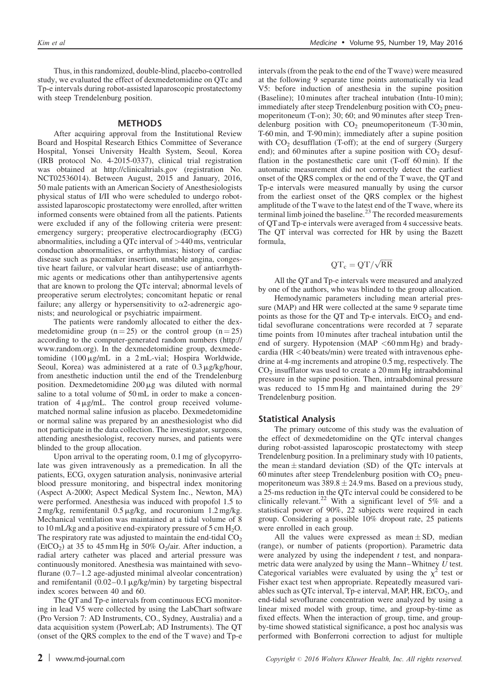Thus, in this randomized, double-blind, placebo-controlled study, we evaluated the effect of dexmedetomidine on QTc and Tp-e intervals during robot-assisted laparoscopic prostatectomy with steep Trendelenburg position.

#### METHODS

After acquiring approval from the Institutional Review Board and Hospital Research Ethics Committee of Severance Hospital, Yonsei University Health System, Seoul, Korea (IRB protocol No. 4-2015-0337), clinical trial registration was obtained at [http://clinicaltrials.gov](http://clinicaltrials.gov/) (registration No. NCT02536014). Between August, 2015 and January, 2016, 50 male patients with an American Society of Anesthesiologists physical status of I/II who were scheduled to undergo robotassisted laparoscopic prostatectomy were enrolled, after written informed consents were obtained from all the patients. Patients were excluded if any of the following criteria were present: emergency surgery; preoperative electrocardiography (ECG) abnormalities, including a QTc interval of >440 ms, ventricular conduction abnormalities, or arrhythmias; history of cardiac disease such as pacemaker insertion, unstable angina, congestive heart failure, or valvular heart disease; use of antiarrhythmic agents or medications other than antihypertensive agents that are known to prolong the QTc interval; abnormal levels of preoperative serum electrolytes; concomitant hepatic or renal failure; any allergy or hypersensitivity to  $\alpha$ 2-adrenergic agonists; and neurological or psychiatric impairment.

The patients were randomly allocated to either the dexmedetomidine group  $(n = 25)$  or the control group  $(n = 25)$ according to the computer-generated random numbers [\(http://](http://www.random.org/) [www.random.org](http://www.random.org/)). In the dexmedetomidine group, dexmedetomidine  $(100 \mu g/mL$  in a 2 mL-vial; Hospira Worldwide, Seoul, Korea) was administered at a rate of  $0.3 \mu$ g/kg/hour, from anesthetic induction until the end of the Trendelenburg position. Dexmedetomidine  $200 \mu g$  was diluted with normal saline to a total volume of 50 mL in order to make a concentration of  $4 \mu g/mL$ . The control group received volumematched normal saline infusion as placebo. Dexmedetomidine or normal saline was prepared by an anesthesiologist who did not participate in the data collection. The investigator, surgeons, attending anesthesiologist, recovery nurses, and patients were blinded to the group allocation.

Upon arrival to the operating room, 0.1 mg of glycopyrrolate was given intravenously as a premedication. In all the patients, ECG, oxygen saturation analysis, noninvasive arterial blood pressure monitoring, and bispectral index monitoring (Aspect A-2000; Aspect Medical System Inc., Newton, MA) were performed. Anesthesia was induced with propofol 1.5 to  $2 \text{ mg/kg}$ , remifentanil  $0.5 \mu$ g/kg, and rocuronium  $1.2 \text{ mg/kg}$ . Mechanical ventilation was maintained at a tidal volume of 8 to 10 mL/kg and a positive end-expiratory pressure of  $5 \text{ cm H}_2\text{O}$ . The respiratory rate was adjusted to maintain the end-tidal  $CO<sub>2</sub>$ (EtCO<sub>2</sub>) at 35 to 45 mm Hg in 50% O<sub>2</sub>/air. After induction, a radial artery catheter was placed and arterial pressure was continuously monitored. Anesthesia was maintained with sevoflurane (0.7–1.2 age-adjusted minimal alveolar concentration) and remifentanil  $(0.02-0.1 \mu g/kg/min)$  by targeting bispectral index scores between 40 and 60.

The QT and Tp-e intervals from continuous ECG monitoring in lead V5 were collected by using the LabChart software (Pro Version 7: AD Instruments, CO., Sydney, Australia) and a data acquisition system (PowerLab; AD Instruments). The QT (onset of the QRS complex to the end of the T wave) and Tp-e intervals (from the peak to the end of the Twave) were measured at the following 9 separate time points automatically via lead V5: before induction of anesthesia in the supine position (Baseline); 10 minutes after tracheal intubation (Intu-10 min); immediately after steep Trendelenburg position with  $CO<sub>2</sub>$  pneumoperitoneum (T-on); 30; 60; and 90 minutes after steep Trendelenburg position with  $CO<sub>2</sub>$  pneumoperitoneum (T-30 min, T-60 min, and T-90 min); immediately after a supine position with  $CO<sub>2</sub>$  desufflation (T-off); at the end of surgery (Surgery end); and 60 minutes after a supine position with  $CO<sub>2</sub>$  desufflation in the postanesthetic care unit (T-off 60 min). If the automatic measurement did not correctly detect the earliest onset of the QRS complex or the end of the T wave, the QT and Tp-e intervals were measured manually by using the cursor from the earliest onset of the QRS complex or the highest amplitude of the Twave to the latest end of the Twave, where its terminal limb joined the baseline.<sup>[23](#page-6-0)</sup> The recorded measurements of QTand Tp-e intervals were averaged from 4 successive beats. The QT interval was corrected for HR by using the Bazett formula,

# $QT_c = QT/\sqrt{RR}$

All the QT and Tp-e intervals were measured and analyzed by one of the authors, who was blinded to the group allocation.

Hemodynamic parameters including mean arterial pressure (MAP) and HR were collected at the same 9 separate time points as those for the QT and Tp-e intervals.  $EtCO<sub>2</sub>$  and endtidal sevoflurane concentrations were recorded at 7 separate time points from 10 minutes after tracheal intubation until the end of surgery. Hypotension (MAP  $<$  60 mm Hg) and bradycardia (HR <40 beats/min) were treated with intravenous ephedrine at 4-mg increments and atropine 0.5 mg, respectively. The  $CO<sub>2</sub>$  insufflator was used to create a 20 mm Hg intraabdominal pressure in the supine position. Then, intraabdominal pressure was reduced to  $15 \text{ mm Hg}$  and maintained during the  $29^\circ$ Trendelenburg position.

#### Statistical Analysis

The primary outcome of this study was the evaluation of the effect of dexmedetomidine on the QTc interval changes during robot-assisted laparoscopic prostatectomy with steep Trendelenburg position. In a preliminary study with 10 patients, the mean  $\pm$  standard deviation (SD) of the QTc intervals at 60 minutes after steep Trendelenburg position with  $CO<sub>2</sub>$  pneumoperitoneum was  $389.8 \pm 24.9$  ms. Based on a previous study, a 25-ms reduction in the QTc interval could be considered to be clinically relevant.<sup>[22](#page-6-0)</sup> With a significant level of 5% and a statistical power of 90%, 22 subjects were required in each group. Considering a possible 10% dropout rate, 25 patients were enrolled in each group.

All the values were expressed as mean  $\pm$  SD, median (range), or number of patients (proportion). Parametric data were analyzed by using the independent  $t$  test, and nonparametric data were analyzed by using the Mann–Whitney  $U$  test. Categorical variables were evaluated by using the  $\chi^2$  test or Fisher exact test when appropriate. Repeatedly measured variables such as QTc interval, Tp-e interval, MAP,  $HR$ , EtCO<sub>2</sub>, and end-tidal sevoflurane concentration were analyzed by using a linear mixed model with group, time, and group-by-time as fixed effects. When the interaction of group, time, and groupby-time showed statistical significance, a post hoc analysis was performed with Bonferroni correction to adjust for multiple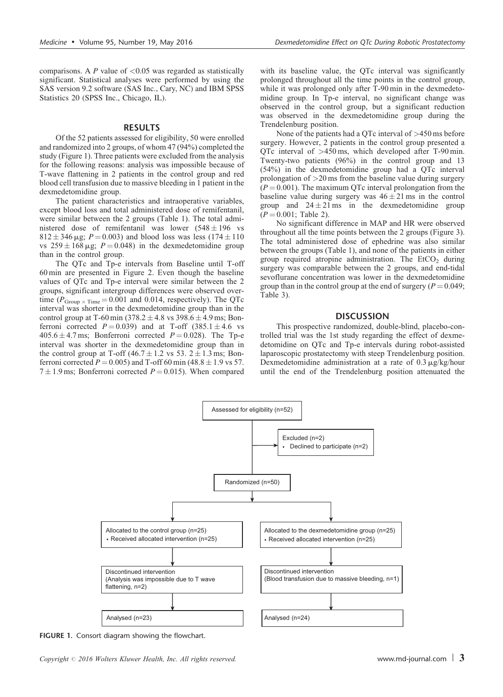comparisons. A P value of  $\langle 0.05 \rangle$  was regarded as statistically significant. Statistical analyses were performed by using the SAS version 9.2 software (SAS Inc., Cary, NC) and IBM SPSS Statistics 20 (SPSS Inc., Chicago, IL).

#### RESULTS

Of the 52 patients assessed for eligibility, 50 were enrolled and randomized into 2 groups, of whom 47 (94%) completed the study (Figure 1). Three patients were excluded from the analysis for the following reasons: analysis was impossible because of T-wave flattening in 2 patients in the control group and red blood cell transfusion due to massive bleeding in 1 patient in the dexmedetomidine group.

The patient characteristics and intraoperative variables, except blood loss and total administered dose of remifentanil, were similar between the 2 groups ([Table 1\)](#page-3-0). The total administered dose of remifentanil was lower  $(548 \pm 196$  vs  $812 \pm 346 \,\mu$ g;  $P = 0.003$ ) and blood loss was less (174  $\pm$  110 vs  $259 \pm 168$  µg;  $P = 0.048$ ) in the dexmedetomidine group than in the control group.

The QTc and Tp-e intervals from Baseline until T-off 60 min are presented in [Figure 2.](#page-3-0) Even though the baseline values of QTc and Tp-e interval were similar between the 2 groups, significant intergroup differences were observed overtime ( $P_{Group \times Time} = 0.001$  and 0.014, respectively). The QTc interval was shorter in the dexmedetomidine group than in the control group at T-60 min  $(378.2 \pm 4.8 \text{ vs } 398.6 \pm 4.9 \text{ ms})$ ; Bonferroni corrected  $P = 0.039$ ) and at T-off (385.1  $\pm$ 4.6 vs  $405.6 \pm 4.7$  ms; Bonferroni corrected  $P = 0.028$ ). The Tp-e interval was shorter in the dexmedetomidine group than in the control group at T-off (46.7  $\pm$  1.2 vs 53. 2  $\pm$  1.3 ms; Bonferroni corrected  $P = 0.005$ ) and T-off 60 min (48.8  $\pm$  1.9 vs 57.  $7 \pm 1.9$  ms; Bonferroni corrected  $P = 0.015$ ). When compared

with its baseline value, the QTc interval was significantly prolonged throughout all the time points in the control group, while it was prolonged only after T-90 min in the dexmedetomidine group. In Tp-e interval, no significant change was observed in the control group, but a significant reduction was observed in the dexmedetomidine group during the Trendelenburg position.

None of the patients had a QTc interval of >450 ms before surgery. However, 2 patients in the control group presented a QTc interval of >450 ms, which developed after T-90 min. Twenty-two patients (96%) in the control group and 13 (54%) in the dexmedetomidine group had a QTc interval prolongation of >20 ms from the baseline value during surgery  $(P = 0.001)$ . The maximum OTc interval prolongation from the baseline value during surgery was  $46 \pm 21$  ms in the control group and  $24 \pm 21$  ms in the dexmedetomidine group  $(P = 0.001$ ; [Table 2](#page-4-0)).

No significant difference in MAP and HR were observed throughout all the time points between the 2 groups ([Figure 3](#page-4-0)). The total administered dose of ephedrine was also similar between the groups ([Table 1](#page-3-0)), and none of the patients in either group required atropine administration. The  $EtCO<sub>2</sub>$  during surgery was comparable between the 2 groups, and end-tidal sevoflurane concentration was lower in the dexmedetomidine group than in the control group at the end of surgery ( $P = 0.049$ ; [Table 3](#page-5-0)).

#### **DISCUSSION**

This prospective randomized, double-blind, placebo-controlled trial was the 1st study regarding the effect of dexmedetomidine on QTc and Tp-e intervals during robot-assisted laparoscopic prostatectomy with steep Trendelenburg position. Dexmedetomidine administration at a rate of  $0.3 \mu g/kg/h$ our until the end of the Trendelenburg position attenuated the



FIGURE 1. Consort diagram showing the flowchart.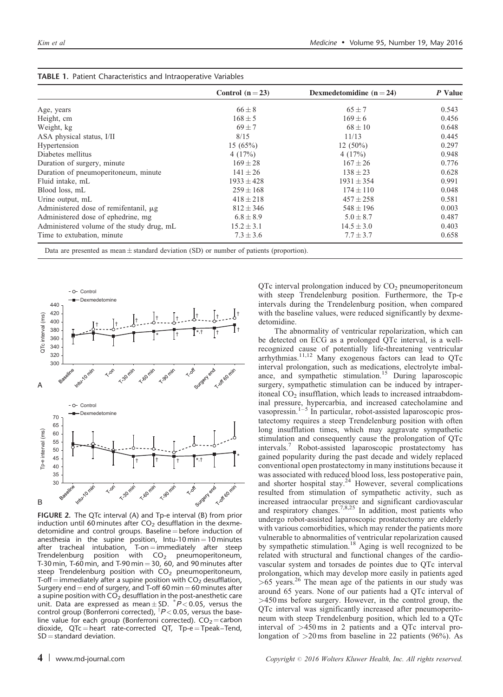|                                            | Control $(n=23)$ | Dexmedetomidine $(n=24)$ | P Value |
|--------------------------------------------|------------------|--------------------------|---------|
| Age, years                                 | $66 \pm 8$       | $65 \pm 7$               | 0.543   |
| Height, cm                                 | $168 \pm 5$      | $169 \pm 6$              | 0.456   |
| Weight, kg                                 | $69 \pm 7$       | $68 \pm 10$              | 0.648   |
| ASA physical status, I/II                  | 8/15             | 11/13                    | 0.445   |
| Hypertension                               | 15(65%)          | $12(50\%)$               | 0.297   |
| Diabetes mellitus                          | 4(17%)           | 4(17%)                   | 0.948   |
| Duration of surgery, minute                | $169 \pm 28$     | $167 \pm 26$             | 0.776   |
| Duration of pneumoperitoneum, minute       | $141 \pm 26$     | $138 \pm 23$             | 0.628   |
| Fluid intake, mL                           | $1933 \pm 428$   | $1931 \pm 354$           | 0.991   |
| Blood loss, mL                             | $259 \pm 168$    | $174 \pm 110$            | 0.048   |
| Urine output, mL                           | $418 \pm 218$    | $457 \pm 258$            | 0.581   |
| Administered dose of remifentanil, $\mu$ g | $812 \pm 346$    | $548 \pm 196$            | 0.003   |
| Administered dose of ephedrine, mg         | $6.8 \pm 8.9$    | $5.0 \pm 8.7$            | 0.487   |
| Administered volume of the study drug, mL  | $15.2 \pm 3.1$   | $14.5 \pm 3.0$           | 0.403   |
| Time to extubation, minute                 | $7.3 \pm 3.6$    | $7.7 \pm 3.7$            | 0.658   |

<span id="page-3-0"></span>

| <b>TABLE 1. Patient Characteristics and Intraoperative Variables</b> |
|----------------------------------------------------------------------|
|----------------------------------------------------------------------|

Data are presented as mean  $\pm$  standard deviation (SD) or number of patients (proportion).



FIGURE 2. The QTc interval (A) and Tp-e interval (B) from prior induction until 60 minutes after  $CO<sub>2</sub>$  desufflation in the dexmedetomidine and control groups. Baseline  $=$  before induction of anesthesia in the supine position,  $Intu-10$  min $= 10$  minutes after tracheal intubation,  $T$ -on = immediately after steep  $Trendelenburg$  position with  $CO<sub>2</sub>$  pneumoperitoneum, T-30 min, T-60 min, and T-90 min = 30, 60, and 90 minutes after steep Trendelenburg position with  $CO<sub>2</sub>$  pneumoperitoneum, T-off = immediately after a supine position with  $CO<sub>2</sub>$  desufflation, Surgery end  $=$  end of surgery, and T-off 60 min  $=$  60 minutes after a supine position with  $CO<sub>2</sub>$  desufflation in the post-anesthetic care unit. Data are expressed as mean  $\pm$  SD.  $^{*}P$  < 0.05, versus the control group (Bonferroni corrected),  $\sqrt[P]{-0.05}$ , versus the baseline value for each group (Bonferroni corrected).  $CO<sub>2</sub> =$ carbon dioxide,  $QTc =$  heart rate-corrected  $QT$ ,  $Tp-e = Tpeak - Tend$ ,  $SD = standard deviation$ .

intervals during the Trendelenburg position, when compared with the baseline values, were reduced significantly by dexmedetomidine. The abnormality of ventricular repolarization, which can

 $QTc$  interval prolongation induced by  $CO<sub>2</sub>$  pneumoperitoneum with steep Trendelenburg position. Furthermore, the Tp-e

be detected on ECG as a prolonged QTc interval, is a wellrecognized cause of potentially life-threatening ventricular arrhythmias.[11,12](#page-5-0) Many exogenous factors can lead to QTc interval prolongation, such as medications, electrolyte imbal-ance, and sympathetic stimulation.<sup>[15](#page-6-0)</sup> During laparoscopic surgery, sympathetic stimulation can be induced by intraperitoneal  $CO<sub>2</sub>$  insufflation, which leads to increased intraabdominal pressure, hypercarbia, and increased catecholamine and vasopressin.<sup>[1–5](#page-5-0)</sup> In particular, robot-assisted laparoscopic prostatectomy requires a steep Trendelenburg position with often long insufflation times, which may aggravate sympathetic stimulation and consequently cause the prolongation of QTc intervals.[7](#page-5-0) Robot-assisted laparoscopic prostatectomy has gained popularity during the past decade and widely replaced conventional open prostatectomy in many institutions because it was associated with reduced blood loss, less postoperative pain, and shorter hospital stay.<sup>[24](#page-6-0)</sup> However, several complications resulted from stimulation of sympathetic activity, such as increased intraocular pressure and significant cardiovascular and respiratory changes.<sup>[7,8,25](#page-5-0)</sup> In addition, most patients who undergo robot-assisted laparoscopic prostatectomy are elderly with various comorbidities, which may render the patients more vulnerable to abnormalities of ventricular repolarization caused by sympathetic stimulation.<sup>[18](#page-6-0)</sup> Aging is well recognized to be related with structural and functional changes of the cardiovascular system and torsades de pointes due to QTc interval prolongation, which may develop more easily in patients aged  $>65$  years.<sup>[26](#page-6-0)</sup> The mean age of the patients in our study was around 65 years. None of our patients had a QTc interval of >450 ms before surgery. However, in the control group, the QTc interval was significantly increased after pneumoperitoneum with steep Trendelenburg position, which led to a QTc interval of >450 ms in 2 patients and a QTc interval prolongation of  $>20 \text{ ms}$  from baseline in 22 patients (96%). As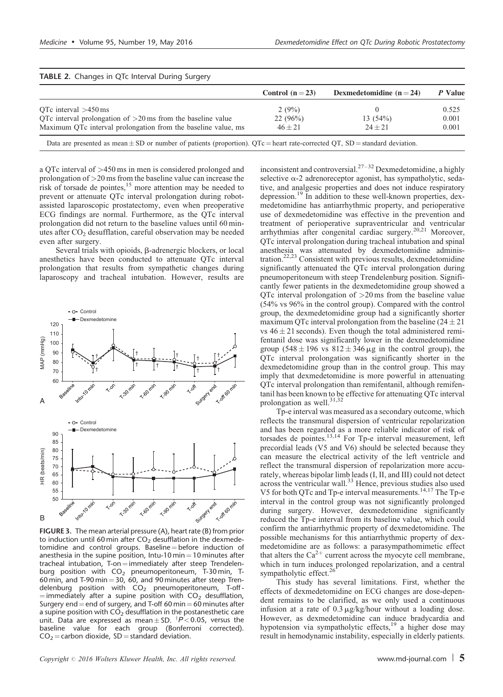|                                                               | Control $(n=23)$ | Dexmedetomidine $(n=24)$ | P Value |
|---------------------------------------------------------------|------------------|--------------------------|---------|
| OTc interval $>450$ ms                                        | 2(9%)            |                          | 0.525   |
| OTc interval prolongation of $>20$ ms from the baseline value | 22(96%)          | 13(54%)                  | 0.001   |
| Maximum QTc interval prolongation from the baseline value, ms | $46 + 21$        | $24 + 21$                | 0.001   |

<span id="page-4-0"></span>TABLE 2. Changes in QTc Interval During Surgery

Data are presented as mean  $\pm$  SD or number of patients (proportion). QTc = heart rate-corrected QT, SD = standard deviation.

a QTc interval of >450 ms in men is considered prolonged and prolongation of >20 ms from the baseline value can increase the risk of torsade de pointes, $15$  more attention may be needed to prevent or attenuate QTc interval prolongation during robotassisted laparoscopic prostatectomy, even when preoperative ECG findings are normal. Furthermore, as the QTc interval prolongation did not return to the baseline values until 60 minutes after  $CO<sub>2</sub>$  desufflation, careful observation may be needed even after surgery.

Several trials with opioids,  $\beta$ -adrenergic blockers, or local anesthetics have been conducted to attenuate QTc interval prolongation that results from sympathetic changes during laparoscopy and tracheal intubation. However, results are



FIGURE 3. The mean arterial pressure (A), heart rate (B) from prior to induction until 60 min after  $CO<sub>2</sub>$  desufflation in the dexmedetomidine and control groups. Baseline  $=$  before induction of anesthesia in the supine position, Intu-10 min  $=$  10 minutes after tracheal intubation, T-on = immediately after steep Trendelenburg position with  $\mathsf{CO}_2$  pneumoperitoneum, T-30 $\mathsf{min},$  T-60 min, and T-90 min  $=$  30, 60, and 90 minutes after steep Trendelenburg position with  $CO<sub>2</sub>$  pneumoperitoneum, T-off- $=$  immediately after a supine position with  $CO<sub>2</sub>$  desufflation, Surgery end  $=$  end of surgery, and T-off 60 min  $=$  60 minutes after a supine position with  $CO<sub>2</sub>$  desufflation in the postanesthetic care unit. Data are expressed as mean $\pm$ SD.  $^{\dagger}P$ <0.05, versus the baseline value for each group (Bonferroni corrected).  $CO<sub>2</sub>$  = carbon dioxide, SD = standard deviation.

inconsistent and controversial.<sup>[27–32](#page-6-0)</sup> Dexmedetomidine, a highly selective  $\alpha$ -2 adrenoreceptor agonist, has sympatholytic, sedative, and analgesic properties and does not induce respiratory depression.[19](#page-6-0) In addition to these well-known properties, dexmedetomidine has antiarrhythmic property, and perioperative use of dexmedetomidine was effective in the prevention and treatment of perioperative supraventricular and ventricular arrhythmias after congenital cardiac surgery.[20,21](#page-6-0) Moreover, QTc interval prolongation during tracheal intubation and spinal anesthesia was attenuated by dexmedetomidine administration.[22,23](#page-6-0) Consistent with previous results, dexmedetomidine significantly attenuated the QTc interval prolongation during pneumoperitoneum with steep Trendelenburg position. Significantly fewer patients in the dexmedetomidine group showed a QTc interval prolongation of  $>20$  ms from the baseline value (54% vs 96% in the control group). Compared with the control group, the dexmedetomidine group had a significantly shorter maximum QTc interval prolongation from the baseline  $(24 \pm 21)$ vs  $46 \pm 21$  seconds). Even though the total administered remifentanil dose was significantly lower in the dexmedetomidine group (548  $\pm$  196 vs 812  $\pm$  346  $\mu$ g in the control group), the QTc interval prolongation was significantly shorter in the dexmedetomidine group than in the control group. This may imply that dexmedetomidine is more powerful in attenuating QTc interval prolongation than remifentanil, although remifentanil has been known to be effective for attenuating QTc interval prolongation as well.<sup>[31,32](#page-6-0)</sup>

Tp-e interval was measured as a secondary outcome, which reflects the transmural dispersion of ventricular repolarization and has been regarded as a more reliable indicator of risk of torsades de pointes.[13,14](#page-6-0) For Tp-e interval measurement, left precordial leads (V5 and V6) should be selected because they can measure the electrical activity of the left ventricle and reflect the transmural dispersion of repolarization more accurately, whereas bipolar limb leads (I, II, and III) could not detect across the ventricular wall.<sup>[33](#page-6-0)</sup> Hence, previous studies also used V5 for both QTc and Tp-e interval measurements.[14,17](#page-6-0) The Tp-e interval in the control group was not significantly prolonged during surgery. However, dexmedetomidine significantly reduced the Tp-e interval from its baseline value, which could confirm the antiarrhythmic property of dexmedetomidine. The possible mechanisms for this antiarrhythmic property of dexmedetomidine are as follows: a parasympathomimetic effect that alters the  $Ca^{2+}$  current across the myocyte cell membrane, which in turn induces prolonged repolarization, and a central sympatholytic effect.

This study has several limitations. First, whether the effects of dexmedetomidine on ECG changes are dose-dependent remains to be clarified, as we only used a continuous infusion at a rate of  $0.3 \mu g/kg/h$ our without a loading dose. However, as dexmedetomidine can induce bradycardia and hypotension via sympatholytic effects,<sup>[19](#page-6-0)</sup> a higher dose may result in hemodynamic instability, especially in elderly patients.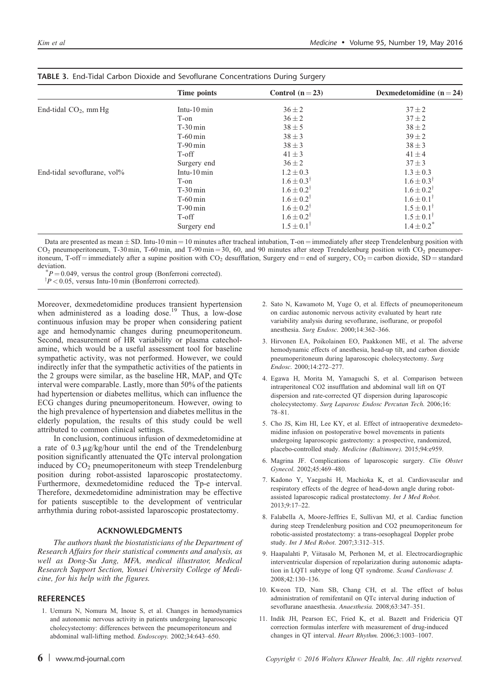|                             | Time points            | Control $(n=23)$        | Dexmedetomidine $(n=24)$ |
|-----------------------------|------------------------|-------------------------|--------------------------|
| End-tidal $CO2$ , mm Hg     | Intu- $10 \text{ min}$ | $36 \pm 2$              | $37 + 2$                 |
|                             | T-on                   | $36 \pm 2$              | $37 \pm 2$               |
|                             | $T-30$ min             | $38 \pm 5$              | $38 \pm 2$               |
|                             | $T-60$ min             | $38 \pm 3$              | $39 \pm 2$               |
|                             | $T-90$ min             | $38 \pm 3$              | $38 \pm 3$               |
|                             | T-off                  | $41 \pm 3$              | $41 \pm 4$               |
|                             | Surgery end            | $36 \pm 2$              | $37 + 3$                 |
| End-tidal sevoflurane, vol% | Intu- $10 \text{ min}$ | $1.2 \pm 0.3$           | $1.3 \pm 0.3$            |
|                             | T-on                   | $1.6 \pm 0.3^{\dagger}$ | $1.6 \pm 0.3^{\dagger}$  |
|                             | $T-30$ min             | $1.6 \pm 0.2^{\dagger}$ | $1.6 \pm 0.2^{\dagger}$  |
|                             | $T-60$ min             | $1.6 \pm 0.2^{\dagger}$ | $1.6 \pm 0.1^{\dagger}$  |
|                             | $T-90$ min             | $1.6 \pm 0.2^{\dagger}$ | $1.5 \pm 0.1^{\dagger}$  |
|                             | T-off                  | $1.6 \pm 0.2^{\dagger}$ | $1.5 \pm 0.1^{\dagger}$  |
|                             | Surgery end            | $1.5 \pm 0.1^{\dagger}$ | $1.4 \pm 0.2^*$          |

#### <span id="page-5-0"></span>TABLE 3. End-Tidal Carbon Dioxide and Sevoflurane Concentrations During Surgery

Data are presented as mean  $\pm$  SD. Intu-10 min = 10 minutes after tracheal intubation, T-on = immediately after steep Trendelenburg position with  $CO<sub>2</sub>$  pneumoperitoneum, T-30 min, T-60 min, and T-90 min = 30, 60, and 90 minutes after steep Trendelenburg position with  $CO<sub>2</sub>$  pneumoperitoneum, T-off = immediately after a supine position with CO<sub>2</sub> desufflation, Surgery end = end of surgery, CO<sub>2</sub> = carbon dioxide, SD = standard deviation.

 $P = 0.049$ , versus the control group (Bonferroni corrected).

 $\bar{P}$  < 0.05, versus Intu-10 min (Bonferroni corrected).

Moreover, dexmedetomidine produces transient hypertension when administered as a loading dose.<sup>19</sup> Thus, a low-dose continuous infusion may be proper when considering patient age and hemodynamic changes during pneumoperitoneum. Second, measurement of HR variability or plasma catecholamine, which would be a useful assessment tool for baseline sympathetic activity, was not performed. However, we could indirectly infer that the sympathetic activities of the patients in the 2 groups were similar, as the baseline HR, MAP, and QTc interval were comparable. Lastly, more than 50% of the patients had hypertension or diabetes mellitus, which can influence the ECG changes during pneumoperitoneum. However, owing to the high prevalence of hypertension and diabetes mellitus in the elderly population, the results of this study could be well attributed to common clinical settings.

In conclusion, continuous infusion of dexmedetomidine at a rate of  $0.3 \mu g/kg/h$ our until the end of the Trendelenburg position significantly attenuated the QTc interval prolongation induced by  $CO<sub>2</sub>$  pneumoperitoneum with steep Trendelenburg position during robot-assisted laparoscopic prostatectomy. Furthermore, dexmedetomidine reduced the Tp-e interval. Therefore, dexmedetomidine administration may be effective for patients susceptible to the development of ventricular arrhythmia during robot-assisted laparoscopic prostatectomy.

### ACKNOWLEDGMENTS

The authors thank the biostatisticians of the Department of Research Affairs for their statistical comments and analysis, as well as Dong-Su Jang, MFA, medical illustrator, Medical Research Support Section, Yonsei University College of Medicine, for his help with the figures.

## **REFERENCES**

1. Uemura N, Nomura M, Inoue S, et al. Changes in hemodynamics and autonomic nervous activity in patients undergoing laparoscopic cholecystectomy: differences between the pneumoperitoneum and abdominal wall-lifting method. Endoscopy. 2002;34:643–650.

- 2. Sato N, Kawamoto M, Yuge O, et al. Effects of pneumoperitoneum on cardiac autonomic nervous activity evaluated by heart rate variability analysis during sevoflurane, isoflurane, or propofol anesthesia. Surg Endosc. 2000;14:362–366.
- 3. Hirvonen EA, Poikolainen EO, Paakkonen ME, et al. The adverse hemodynamic effects of anesthesia, head-up tilt, and carbon dioxide pneumoperitoneum during laparoscopic cholecystectomy. Surg Endosc. 2000;14:272–277.
- 4. Egawa H, Morita M, Yamaguchi S, et al. Comparison between intraperitoneal CO2 insufflation and abdominal wall lift on QT dispersion and rate-corrected QT dispersion during laparoscopic cholecystectomy. Surg Laparosc Endosc Percutan Tech. 2006;16: 78–81.
- 5. Cho JS, Kim HI, Lee KY, et al. Effect of intraoperative dexmedetomidine infusion on postoperative bowel movements in patients undergoing laparoscopic gastrectomy: a prospective, randomized, placebo-controlled study. Medicine (Baltimore). 2015;94:e959.
- 6. Magrina JF. Complications of laparoscopic surgery. Clin Obstet Gynecol. 2002;45:469–480.
- 7. Kadono Y, Yaegashi H, Machioka K, et al. Cardiovascular and respiratory effects of the degree of head-down angle during robotassisted laparoscopic radical prostatectomy. Int J Med Robot. 2013;9:17–22.
- 8. Falabella A, Moore-Jeffries E, Sullivan MJ, et al. Cardiac function during steep Trendelenburg position and CO2 pneumoperitoneum for robotic-assisted prostatectomy: a trans-oesophageal Doppler probe study. Int J Med Robot. 2007;3:312–315.
- 9. Haapalahti P, Viitasalo M, Perhonen M, et al. Electrocardiographic interventricular dispersion of repolarization during autonomic adaptation in LQT1 subtype of long QT syndrome. Scand Cardiovasc J. 2008;42:130–136.
- 10. Kweon TD, Nam SB, Chang CH, et al. The effect of bolus administration of remifentanil on QTc interval during induction of sevoflurane anaesthesia. Anaesthesia. 2008;63:347–351.
- 11. Indik JH, Pearson EC, Fried K, et al. Bazett and Fridericia QT correction formulas interfere with measurement of drug-induced changes in QT interval. Heart Rhythm. 2006;3:1003–1007.

6 | www.md-journal.com  $\epsilon$  Copyright  $\circ$  2016 Wolters Kluwer Health, Inc. All rights reserved.